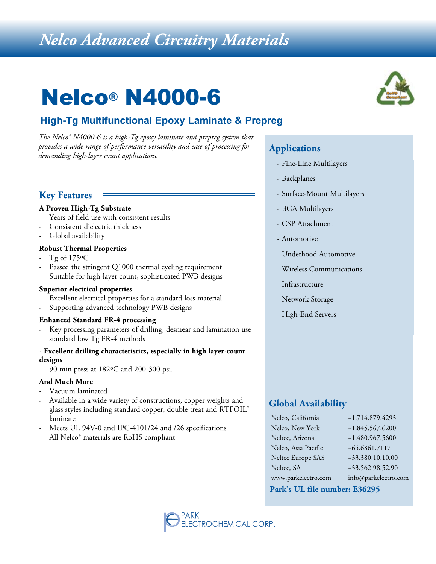## *Nelco Advanced Circuitry Materials*

## Nelco® N4000-6

## **High-Tg Multifunctional Epoxy Laminate & Prepreg**

*The Nelco® N4000-6 is a high-Tg epoxy laminate and prepreg system that provides a wide range of performance versatility and ease of processing for demanding high-layer count applications.*

### **Key Features**

#### **A Proven High-Tg Substrate**

- Years of field use with consistent results
- Consistent dielectric thickness
- Global availability

#### **Robust Thermal Properties**

- Tg of 175°C
- Passed the stringent Q1000 thermal cycling requirement
- Suitable for high-layer count, sophisticated PWB designs

#### **Superior electrical properties**

- Excellent electrical properties for a standard loss material
- Supporting advanced technology PWB designs

#### **Enhanced Standard FR-4 processing**

Key processing parameters of drilling, desmear and lamination use standard low Tg FR-4 methods

#### **- Excellent drilling characteristics, especially in high layer-count designs**

- 90 min press at 182ºC and 200-300 psi.

#### **And Much More**

- Vacuum laminated
- Available in a wide variety of constructions, copper weights and glass styles including standard copper, double treat and RTFOIL® laminate
- Meets UL 94V-0 and IPC-4101/24 and /26 specifications
- All Nelco® materials are RoHS compliant



#### **Applications**

- Fine-Line Multilayers
- Backplanes
- Surface-Mount Multilayers
- BGA Multilayers
- CSP Attachment
- Automotive
- Underhood Automotive
- Wireless Communications
- Infrastructure
- Network Storage
- High-End Servers

#### **Global Availability**

| Nelco, California   | +1.714.879.4293      |
|---------------------|----------------------|
| Nelco, New York     | +1.845.567.6200      |
| Neltec, Arizona     | +1.480.967.5600      |
| Nelco, Asia Pacific | +65.6861.7117        |
| Neltec Europe SAS   | +33.380.10.10.00     |
| Neltec, SA          | +33.562.98.52.90     |
| www.parkelectro.com | info@parkelectro.com |
|                     |                      |

#### **Park's UL file number: E36295**